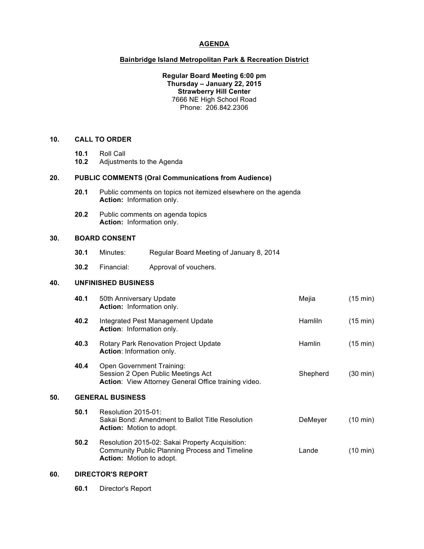### **AGENDA**

### **Bainbridge Island Metropolitan Park & Recreation District**

**Regular Board Meeting 6:00 pm Thursday – January 22, 2015 Strawberry Hill Center** 7666 NE High School Road Phone: 206.842.2306

# **10. CALL TO ORDER**

- **10.1** Roll Call
- **10.2** Adjustments to the Agenda

## **20. PUBLIC COMMENTS (Oral Communications from Audience)**

- **20.1** Public comments on topics not itemized elsewhere on the agenda **Action:** Information only.
- **20.2** Public comments on agenda topics **Action:** Information only.

### **30. BOARD CONSENT**

- **30.1** Minutes: Regular Board Meeting of January 8, 2014
- **30.2** Financial: Approval of vouchers.

# **40. UNFINISHED BUSINESS**

|     | 40.1                    | 50th Anniversary Update<br><b>Action:</b> Information only.                                                                                 | Mejia          | (15 min)           |
|-----|-------------------------|---------------------------------------------------------------------------------------------------------------------------------------------|----------------|--------------------|
|     | 40.2                    | Integrated Pest Management Update<br>Action: Information only.                                                                              | <b>Hamliln</b> | $(15 \text{ min})$ |
|     | 40.3                    | Rotary Park Renovation Project Update<br>Action: Information only.                                                                          | <b>Hamlin</b>  | $(15 \text{ min})$ |
|     | 40.4                    | Open Government Training:<br>Session 2 Open Public Meetings Act<br>Action: View Attorney General Office training video.                     | Shepherd       | (30 min)           |
| 50. | <b>GENERAL BUSINESS</b> |                                                                                                                                             |                |                    |
|     | 50.1                    | Resolution 2015-01:<br>Sakai Bond: Amendment to Ballot Title Resolution<br><b>Action:</b> Motion to adopt.                                  | DeMeyer        | $(10 \text{ min})$ |
|     | 50.2                    | Resolution 2015-02: Sakai Property Acquisition:<br><b>Community Public Planning Process and Timeline</b><br><b>Action:</b> Motion to adopt. | Lande          | (10 min)           |
|     |                         |                                                                                                                                             |                |                    |

# **60. DIRECTOR'S REPORT**

**60.1** Director's Report